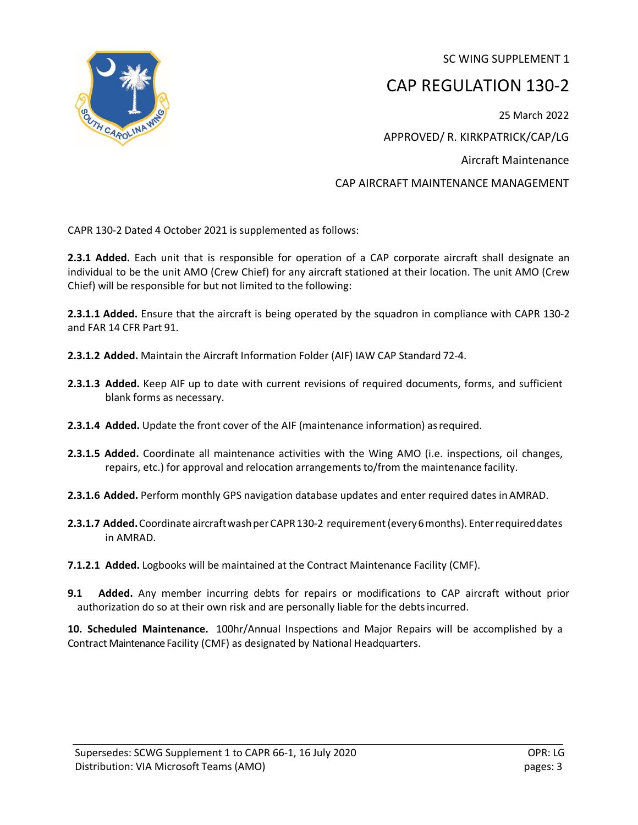SC WING SUPPLEMENT 1



## CAP REGULATION 130-2

25 March 2022 APPROVED/ R. KIRKPATRICK/CAP/LG Aircraft Maintenance CAP AIRCRAFT MAINTENANCE MANAGEMENT

CAPR 130-2 Dated 4 October 2021 is supplemented as follows:

**2.3.1 Added.** Each unit that is responsible for operation of a CAP corporate aircraft shall designate an individual to be the unit AMO (Crew Chief) for any aircraft stationed at their location. The unit AMO (Crew Chief) will be responsible for but not limited to the following:

**2.3.1.1 Added.** Ensure that the aircraft is being operated by the squadron in compliance with CAPR 130-2 and FAR 14 CFR Part 91.

- **2.3.1.2 Added.** Maintain the Aircraft Information Folder (AIF) IAW CAP Standard 72-4.
- **2.3.1.3 Added.** Keep AIF up to date with current revisions of required documents, forms, and sufficient blank forms as necessary.
- **2.3.1.4 Added.** Update the front cover of the AIF (maintenance information) asrequired.
- **2.3.1.5 Added.** Coordinate all maintenance activities with the Wing AMO (i.e. inspections, oil changes, repairs, etc.) for approval and relocation arrangements to/from the maintenance facility.
- **2.3.1.6 Added.** Perform monthly GPS navigation database updates and enter required dates inAMRAD.
- **2.3.1.7 Added.**Coordinate aircraftwashperCAPR130-2 requirement(every6months). Enterrequireddates in AMRAD.
- **7.1.2.1 Added.** Logbooks will be maintained at the Contract Maintenance Facility (CMF).
- **9.1 Added.** Any member incurring debts for repairs or modifications to CAP aircraft without prior authorization do so at their own risk and are personally liable for the debtsincurred.

**10. Scheduled Maintenance.** 100hr/Annual Inspections and Major Repairs will be accomplished by a Contract Maintenance Facility (CMF) as designated by National Headquarters.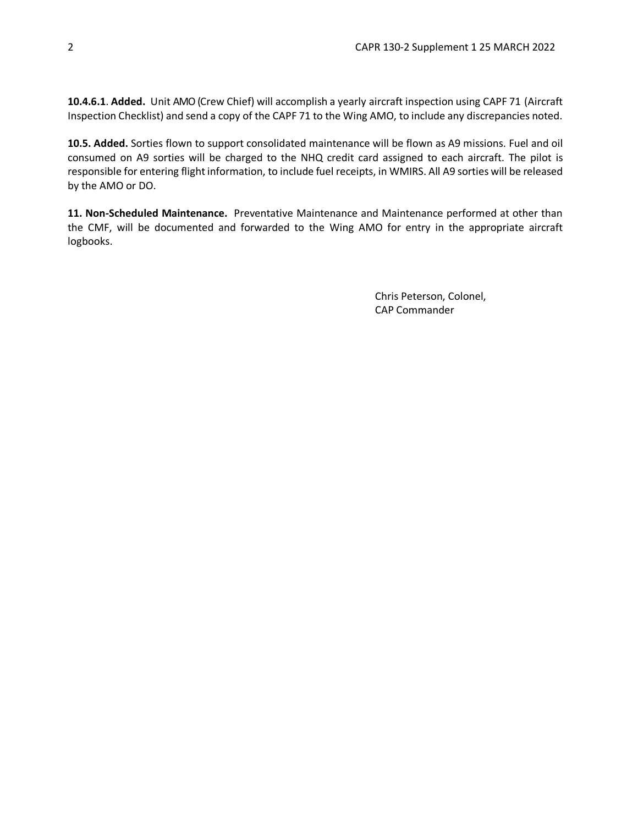**10.4.6.1**. **Added.** Unit AMO (Crew Chief) will accomplish a yearly aircraft inspection using CAPF 71 (Aircraft Inspection Checklist) and send a copy of the CAPF 71 to the Wing AMO, to include any discrepancies noted.

**10.5. Added.** Sorties flown to support consolidated maintenance will be flown as A9 missions. Fuel and oil consumed on A9 sorties will be charged to the NHQ credit card assigned to each aircraft. The pilot is responsible for entering flight information, to include fuel receipts, in WMIRS. All A9 sorties will be released by the AMO or DO.

**11. Non-Scheduled Maintenance.** Preventative Maintenance and Maintenance performed at other than the CMF, will be documented and forwarded to the Wing AMO for entry in the appropriate aircraft logbooks.

> Chris Peterson, Colonel, CAP Commander